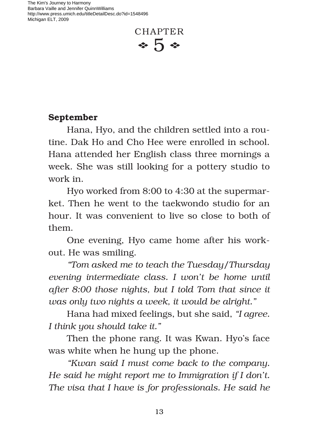The Kim's Journey to Harmony Barbara Vaille and Jennifer QuinnWilliams http://www.press.umich.edu/titleDetailDesc.do?id=1548496 Michigan ELT, 2009



## **September**

Hana, Hyo, and the children settled into a routine. Dak Ho and Cho Hee were enrolled in school. Hana attended her English class three mornings a week. She was still looking for a pottery studio to work in.

Hyo worked from 8:00 to 4:30 at the supermarket. Then he went to the taekwondo studio for an hour. It was convenient to live so close to both of them.

One evening, Hyo came home after his workout. He was smiling.

*"Tom asked me to teach the Tuesday/Thursday evening intermediate class. I won't be home until after 8:00 those nights, but I told Tom that since it was only two nights a week, it would be alright."*

Hana had mixed feelings, but she said, *"I agree. I think you should take it."* 

Then the phone rang. It was Kwan. Hyo's face was white when he hung up the phone.

*"Kwan said I must come back to the company. He said he might report me to Immigration if I don't. The visa that I have is for professionals. He said he*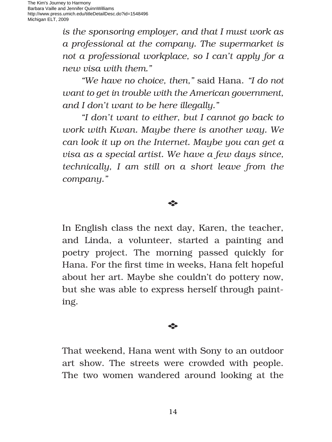*is the sponsoring employer, and that I must work as a professional at the company. The supermarket is not a professional workplace, so I can't apply for a new visa with them."*

*"We have no choice, then,"* said Hana. *"I do not want to get in trouble with the American government, and I don't want to be here illegally."*

*"I don't want to either, but I cannot go back to work with Kwan. Maybe there is another way. We can look it up on the Internet. Maybe you can get a visa as a special artist. We have a few days since, technically, I am still on a short leave from the company."* 

## E

In English class the next day, Karen, the teacher, and Linda, a volunteer, started a painting and poetry project. The morning passed quickly for Hana. For the first time in weeks, Hana felt hopeful about her art. Maybe she couldn't do pottery now, but she was able to express herself through painting.

## E

That weekend, Hana went with Sony to an outdoor art show. The streets were crowded with people. The two women wandered around looking at the